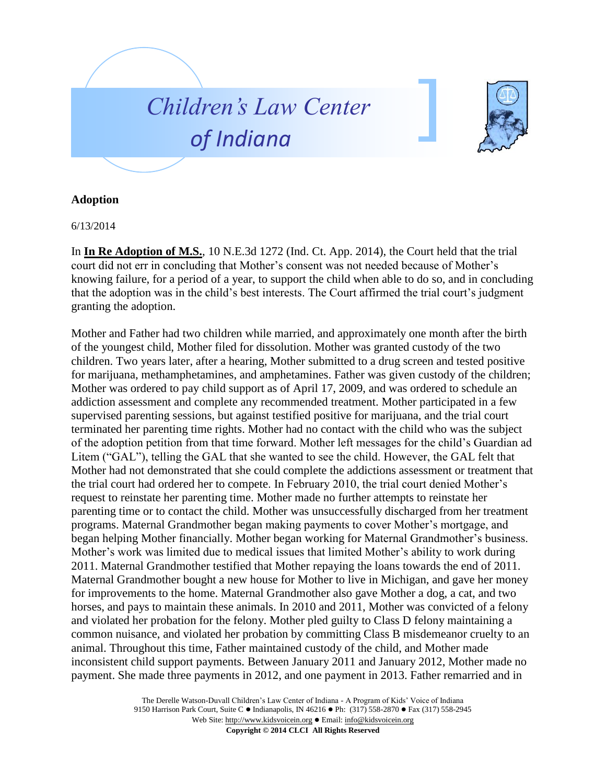



## **Adoption**

6/13/2014

In **In Re Adoption of M.S.**, 10 N.E.3d 1272 (Ind. Ct. App. 2014), the Court held that the trial court did not err in concluding that Mother's consent was not needed because of Mother's knowing failure, for a period of a year, to support the child when able to do so, and in concluding that the adoption was in the child's best interests. The Court affirmed the trial court's judgment granting the adoption.

Mother and Father had two children while married, and approximately one month after the birth of the youngest child, Mother filed for dissolution. Mother was granted custody of the two children. Two years later, after a hearing, Mother submitted to a drug screen and tested positive for marijuana, methamphetamines, and amphetamines. Father was given custody of the children; Mother was ordered to pay child support as of April 17, 2009, and was ordered to schedule an addiction assessment and complete any recommended treatment. Mother participated in a few supervised parenting sessions, but against testified positive for marijuana, and the trial court terminated her parenting time rights. Mother had no contact with the child who was the subject of the adoption petition from that time forward. Mother left messages for the child's Guardian ad Litem ("GAL"), telling the GAL that she wanted to see the child. However, the GAL felt that Mother had not demonstrated that she could complete the addictions assessment or treatment that the trial court had ordered her to compete. In February 2010, the trial court denied Mother's request to reinstate her parenting time. Mother made no further attempts to reinstate her parenting time or to contact the child. Mother was unsuccessfully discharged from her treatment programs. Maternal Grandmother began making payments to cover Mother's mortgage, and began helping Mother financially. Mother began working for Maternal Grandmother's business. Mother's work was limited due to medical issues that limited Mother's ability to work during 2011. Maternal Grandmother testified that Mother repaying the loans towards the end of 2011. Maternal Grandmother bought a new house for Mother to live in Michigan, and gave her money for improvements to the home. Maternal Grandmother also gave Mother a dog, a cat, and two horses, and pays to maintain these animals. In 2010 and 2011, Mother was convicted of a felony and violated her probation for the felony. Mother pled guilty to Class D felony maintaining a common nuisance, and violated her probation by committing Class B misdemeanor cruelty to an animal. Throughout this time, Father maintained custody of the child, and Mother made inconsistent child support payments. Between January 2011 and January 2012, Mother made no payment. She made three payments in 2012, and one payment in 2013. Father remarried and in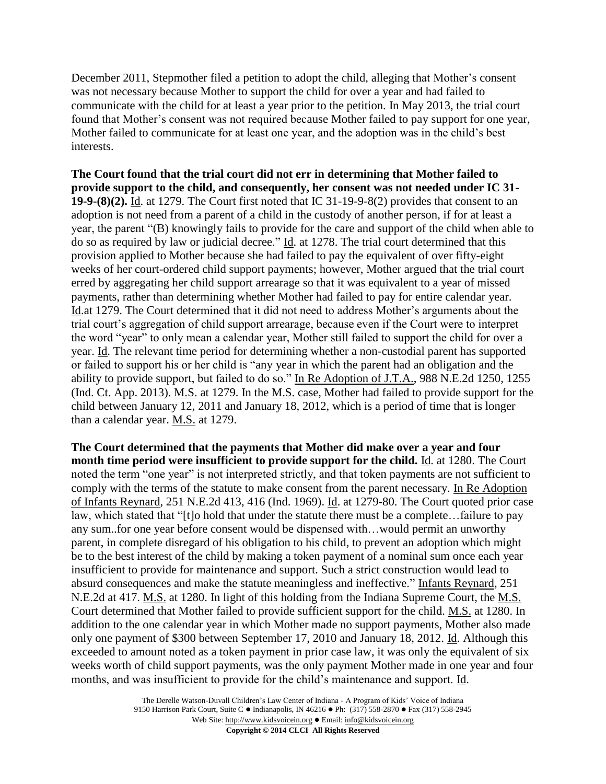December 2011, Stepmother filed a petition to adopt the child, alleging that Mother's consent was not necessary because Mother to support the child for over a year and had failed to communicate with the child for at least a year prior to the petition. In May 2013, the trial court found that Mother's consent was not required because Mother failed to pay support for one year, Mother failed to communicate for at least one year, and the adoption was in the child's best interests.

**The Court found that the trial court did not err in determining that Mother failed to provide support to the child, and consequently, her consent was not needed under IC 31- 19-9-(8)(2).** Id. at 1279. The Court first noted that IC 31-19-9-8(2) provides that consent to an adoption is not need from a parent of a child in the custody of another person, if for at least a year, the parent "(B) knowingly fails to provide for the care and support of the child when able to do so as required by law or judicial decree." Id. at 1278. The trial court determined that this provision applied to Mother because she had failed to pay the equivalent of over fifty-eight weeks of her court-ordered child support payments; however, Mother argued that the trial court erred by aggregating her child support arrearage so that it was equivalent to a year of missed payments, rather than determining whether Mother had failed to pay for entire calendar year. Id.at 1279. The Court determined that it did not need to address Mother's arguments about the trial court's aggregation of child support arrearage, because even if the Court were to interpret the word "year" to only mean a calendar year, Mother still failed to support the child for over a year. Id. The relevant time period for determining whether a non-custodial parent has supported or failed to support his or her child is "any year in which the parent had an obligation and the ability to provide support, but failed to do so." In Re Adoption of J.T.A., 988 N.E.2d 1250, 1255 (Ind. Ct. App. 2013). M.S. at 1279. In the M.S. case, Mother had failed to provide support for the child between January 12, 2011 and January 18, 2012, which is a period of time that is longer than a calendar year. M.S. at 1279.

**The Court determined that the payments that Mother did make over a year and four**  month time period were insufficient to provide support for the child. Id. at 1280. The Court noted the term "one year" is not interpreted strictly, and that token payments are not sufficient to comply with the terms of the statute to make consent from the parent necessary. In Re Adoption of Infants Reynard, 251 N.E.2d 413, 416 (Ind. 1969). Id. at 1279-80. The Court quoted prior case law, which stated that "[t]o hold that under the statute there must be a complete…failure to pay any sum..for one year before consent would be dispensed with…would permit an unworthy parent, in complete disregard of his obligation to his child, to prevent an adoption which might be to the best interest of the child by making a token payment of a nominal sum once each year insufficient to provide for maintenance and support. Such a strict construction would lead to absurd consequences and make the statute meaningless and ineffective." Infants Reynard, 251 N.E.2d at 417. M.S. at 1280. In light of this holding from the Indiana Supreme Court, the M.S. Court determined that Mother failed to provide sufficient support for the child. M.S. at 1280. In addition to the one calendar year in which Mother made no support payments, Mother also made only one payment of \$300 between September 17, 2010 and January 18, 2012. Id. Although this exceeded to amount noted as a token payment in prior case law, it was only the equivalent of six weeks worth of child support payments, was the only payment Mother made in one year and four months, and was insufficient to provide for the child's maintenance and support. Id.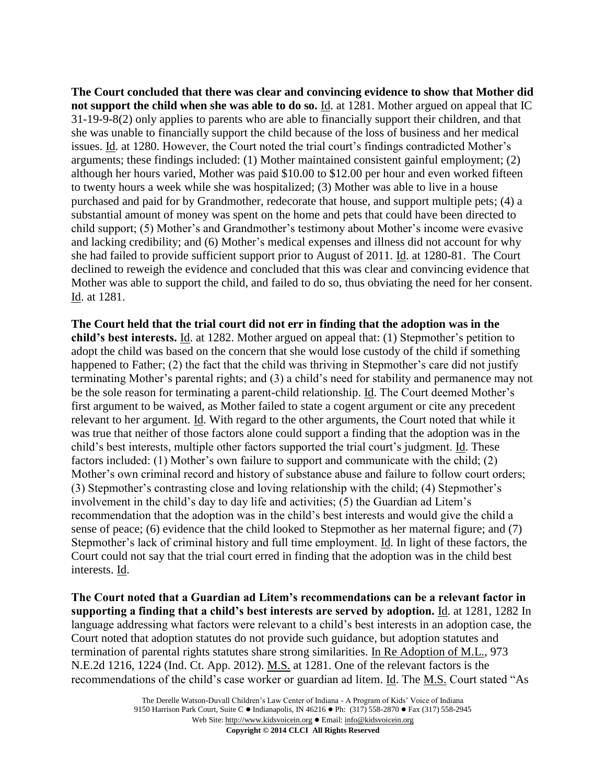**The Court concluded that there was clear and convincing evidence to show that Mother did not support the child when she was able to do so.** Id. at 1281. Mother argued on appeal that IC 31-19-9-8(2) only applies to parents who are able to financially support their children, and that she was unable to financially support the child because of the loss of business and her medical issues. Id. at 1280. However, the Court noted the trial court's findings contradicted Mother's arguments; these findings included: (1) Mother maintained consistent gainful employment; (2) although her hours varied, Mother was paid \$10.00 to \$12.00 per hour and even worked fifteen to twenty hours a week while she was hospitalized; (3) Mother was able to live in a house purchased and paid for by Grandmother, redecorate that house, and support multiple pets; (4) a substantial amount of money was spent on the home and pets that could have been directed to child support; (5) Mother's and Grandmother's testimony about Mother's income were evasive and lacking credibility; and (6) Mother's medical expenses and illness did not account for why she had failed to provide sufficient support prior to August of 2011. Id. at 1280-81. The Court declined to reweigh the evidence and concluded that this was clear and convincing evidence that Mother was able to support the child, and failed to do so, thus obviating the need for her consent. Id. at 1281.

**The Court held that the trial court did not err in finding that the adoption was in the child's best interests.** Id. at 1282. Mother argued on appeal that: (1) Stepmother's petition to adopt the child was based on the concern that she would lose custody of the child if something happened to Father; (2) the fact that the child was thriving in Stepmother's care did not justify terminating Mother's parental rights; and (3) a child's need for stability and permanence may not be the sole reason for terminating a parent-child relationship. Id. The Court deemed Mother's first argument to be waived, as Mother failed to state a cogent argument or cite any precedent relevant to her argument. Id. With regard to the other arguments, the Court noted that while it was true that neither of those factors alone could support a finding that the adoption was in the child's best interests, multiple other factors supported the trial court's judgment. Id. These factors included: (1) Mother's own failure to support and communicate with the child; (2) Mother's own criminal record and history of substance abuse and failure to follow court orders; (3) Stepmother's contrasting close and loving relationship with the child; (4) Stepmother's involvement in the child's day to day life and activities; (5) the Guardian ad Litem's recommendation that the adoption was in the child's best interests and would give the child a sense of peace; (6) evidence that the child looked to Stepmother as her maternal figure; and (7) Stepmother's lack of criminal history and full time employment. Id. In light of these factors, the Court could not say that the trial court erred in finding that the adoption was in the child best interests. Id.

**The Court noted that a Guardian ad Litem's recommendations can be a relevant factor in supporting a finding that a child's best interests are served by adoption.** Id. at 1281, 1282 In language addressing what factors were relevant to a child's best interests in an adoption case, the Court noted that adoption statutes do not provide such guidance, but adoption statutes and termination of parental rights statutes share strong similarities. In Re Adoption of M.L., 973 N.E.2d 1216, 1224 (Ind. Ct. App. 2012). M.S. at 1281. One of the relevant factors is the recommendations of the child's case worker or guardian ad litem. Id. The M.S. Court stated "As